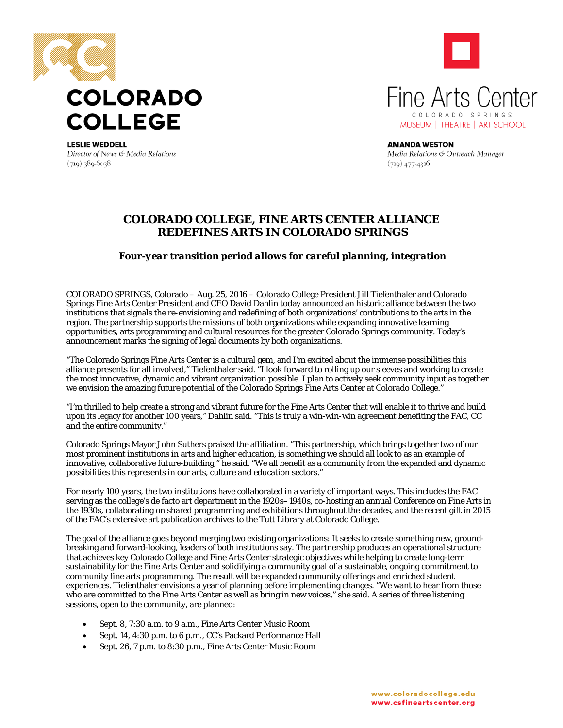

Director of News & Media Relations

 $(719)$  389-6038



**AMANDA WESTON** Media Relations & Outreach Manager  $(719)$  477-4316

## **COLORADO COLLEGE, FINE ARTS CENTER ALLIANCE REDEFINES ARTS IN COLORADO SPRINGS**

## *Four-year transition period allows for careful planning, integration*

COLORADO SPRINGS, Colorado – Aug. 25, 2016 – Colorado College President Jill Tiefenthaler and Colorado Springs Fine Arts Center President and CEO David Dahlin today announced an historic alliance between the two institutions that signals the re-envisioning and redefining of both organizations' contributions to the arts in the region. The partnership supports the missions of both organizations while expanding innovative learning opportunities, arts programming and cultural resources for the greater Colorado Springs community. Today's announcement marks the signing of legal documents by both organizations.

"The Colorado Springs Fine Arts Center is a cultural gem, and I'm excited about the immense possibilities this alliance presents for all involved," Tiefenthaler said. "I look forward to rolling up our sleeves and working to create the most innovative, dynamic and vibrant organization possible. I plan to actively seek community input as together we envision the amazing future potential of the Colorado Springs Fine Arts Center at Colorado College."

"I'm thrilled to help create a strong and vibrant future for the Fine Arts Center that will enable it to thrive and build upon its legacy for another 100 years," Dahlin said. "This is truly a win-win-win agreement benefiting the FAC, CC and the entire community."

Colorado Springs Mayor John Suthers praised the affiliation. "This partnership, which brings together two of our most prominent institutions in arts and higher education, is something we should all look to as an example of innovative, collaborative future-building," he said. "We all benefit as a community from the expanded and dynamic possibilities this represents in our arts, culture and education sectors."

For nearly 100 years, the two institutions have collaborated in a variety of important ways. This includes the FAC serving as the college's de facto art department in the 1920s–1940s, co-hosting an annual Conference on Fine Arts in the 1930s, collaborating on shared programming and exhibitions throughout the decades, and the recent gift in 2015 of the FAC's extensive art publication archives to the Tutt Library at Colorado College.

The goal of the alliance goes beyond merging two existing organizations: It seeks to create something new, groundbreaking and forward-looking, leaders of both institutions say. The partnership produces an operational structure that achieves key Colorado College and Fine Arts Center strategic objectives while helping to create long-term sustainability for the Fine Arts Center and solidifying a community goal of a sustainable, ongoing commitment to community fine arts programming. The result will be expanded community offerings and enriched student experiences. Tiefenthaler envisions a year of planning before implementing changes. "We want to hear from those who are committed to the Fine Arts Center as well as bring in new voices," she said. A series of three listening sessions, open to the community, are planned:

- Sept. 8, 7:30 a.m. to 9 a.m., Fine Arts Center Music Room
- Sept. 14, 4:30 p.m. to 6 p.m., CC's Packard Performance Hall
- Sept. 26, 7 p.m. to 8:30 p.m., Fine Arts Center Music Room